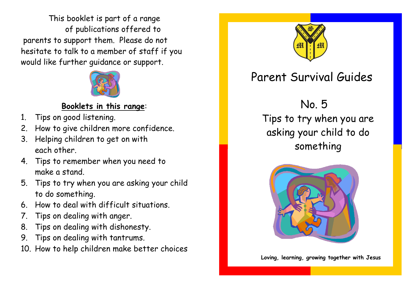This booklet is part of a range of publications offered to parents to support them. Please do not hesitate to talk to a member of staff if you would like further guidance or support.



## **Booklets in this range**:

- 1. Tips on good listening.
- 2. How to give children more confidence.
- 3. Helping children to get on with each other.
- 4. Tips to remember when you need to make a stand.
- 5. Tips to try when you are asking your child to do something.
- 6. How to deal with difficult situations.
- 7. Tips on dealing with anger.
- 8. Tips on dealing with dishonesty.
- 9. Tips on dealing with tantrums.
- 10. How to help children make better choices



## Parent Survival Guides

No. 5

Tips to try when you are asking your child to do something



**Loving, learning, growing together with Jesus**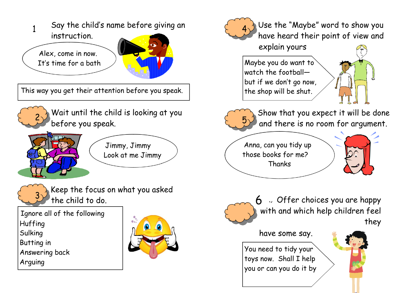

This way you get their attention before you speak.



Wait until the child is looking at you before you speak.



Jimmy, Jimmy Look at me Jimmy



Keep the focus on what you asked the child to do.

Ignore all of the following Huffing Sulking Butting in Answering back Arguing





Use the "Maybe" word to show you have heard their point of view and

explain yours

Maybe you do want to watch the football but if we don't go now, the shop will be shut.





Show that you expect it will be done and there is no room for argument.

Anna, can you tidy up those books for me? Thanks





6 Offer choices you are happy with and which help children feel they

have some say.

You need to tidy your toys now. Shall I help you or can you do it by